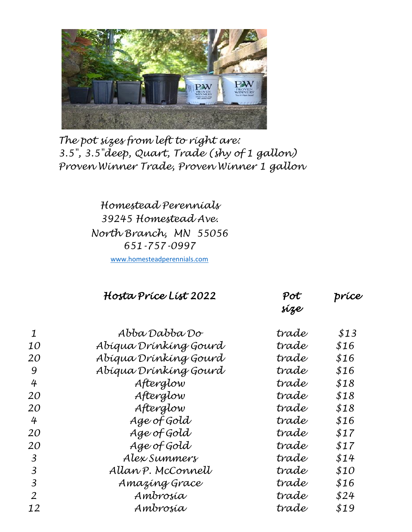

*The pot sizes from left to right are: 3.5", 3.5"deep, Quart, Trade (shy of 1 gallon) Proven Winner Trade, Proven Winner 1 gallon*

> *Homestead Perennials 39245 Homestead Ave. North Branch, MN 55056 651-757-0997*

[www.homesteadperennials.com](http://www.homesteadperennials.com/)

|                 | Hosta Príce List 2022 | Pot<br>síze | príce |
|-----------------|-----------------------|-------------|-------|
| $\mathbf 1$     | Abba Dabba Do         | trade       | \$13  |
| <i>10</i>       | Abigua Drínking Gourd | trade       | \$16  |
| 20              | Abígua Drínkíng Gourd | trade       | \$16  |
| -9              | Abígua Drínkíng Gourd | trade       | \$16  |
| $4\overline{ }$ | Afterglow             | trade       | \$18  |
| 20              | Afterglow             | trade       | \$18  |
| 20              | Afterglow             | trade       | \$18  |
| $\overline{4}$  | $Aae$ of Gold         | trade,      | \$16  |

|                | $1.1$ $-1.7$ $-1.7$ |       | Y = V |
|----------------|---------------------|-------|-------|
| 20             | Afterglow           | trade | \$18  |
| 4              | Age of Gold         | trade | \$16  |
| 20             | Age of Gold         | trade | \$17  |
| 20             | Age of Gold         | trade | \$17  |
| $\overline{3}$ | Alex Summers        | trade | \$14  |
| $\overline{3}$ | Allan P. McConnell  | trade | \$10  |
| $\overline{3}$ | Amazing Grace       | trade | \$16  |
| 2              | Ambrosía            | trade | \$24  |
| 12             | Ambrosía            | trade | \$19  |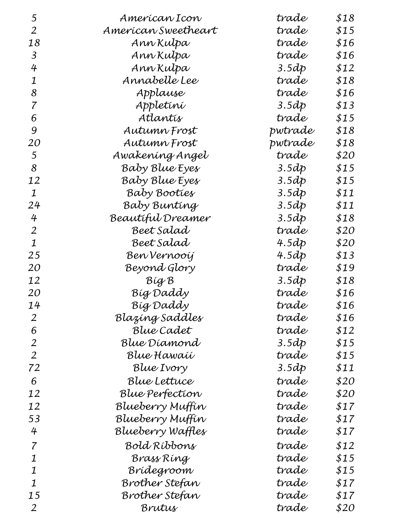| 5              | Amerícan Icon       | trade   | \$18 |
|----------------|---------------------|---------|------|
| 2              | American Sweetheart | trade   | \$15 |
| 18             | Ann Kulpa           | trade   | \$16 |
| 3              | Ann Kulpa           | trade   | \$16 |
| 4              | Ann Kulpa           | 3.5dp   | \$12 |
| 1              | Annabelle Lee       | trade   | \$18 |
| 8              | Applause            | trade   | \$16 |
| 7              | Appletini           | 3.5dp   | \$13 |
| 6              | Atlantís            | trade   | \$15 |
| 9              | Autumn Frost        | pwtrade | \$18 |
| 20             | Autumn Frost        | pwtrade | \$18 |
| 5              | Awakening Angel     | trade   | \$20 |
| 8              | Baby Blue Eyes      | 3.5dp   | \$15 |
| 12             | Baby Blue Eyes      | 3.5dp   | \$15 |
| 1              | Baby Booties        | 3.5dp   | \$11 |
| 24             | Baby Bunting        | 3.5dp   | \$11 |
| 4              | Beautiful Dreamer   | 3.5dp   | \$18 |
| 2              | Beet Salad          | trade   | \$20 |
| $\mathbf 1$    | Beet Salad          | 4.5dp   | \$20 |
| 25             | Ben Vernooij        | 4.5dp   | \$13 |
| 20             | Beyond Glory        | trade   | \$19 |
| 12             | Big B               | 3.5dp   | \$18 |
| 20             | Bíg Daddy           | trade   | \$16 |
| 14             | Bíg Daddy           | trade   | \$16 |
| 2              | Blazíng Saddles     | trade   | \$16 |
| 6              | Blue Cadet          | trade   | \$12 |
| 2              | Blue Díamond        | 3.5dp   | \$15 |
| $\overline{2}$ | Blue Hawaíí         | trade   | \$15 |
| 72             | Blue Ivory          | 3.5dp   | \$11 |
| 6              | Blue Lettuce        | trade   | \$20 |
| 12             | Blue Perfection     | trade   | \$20 |
| 12             | Blueberry Muffín    | trade   | \$17 |
| 53             | Blueberry Muffín    | trade   | \$17 |
| 4              | Blueberry Waffles   | trade   | \$17 |
| 7              | Bold Ríbbons        | trade   | \$12 |
| 1              | Brass Ríng          | trade   | \$15 |
| 1              | Brídegroom          | trade   | \$15 |
| 1              | Brother Stefan      | trade   | \$17 |
| 15             | Brother Stefan      | trade   | \$17 |
| 2              | Brutus              | trade   | \$20 |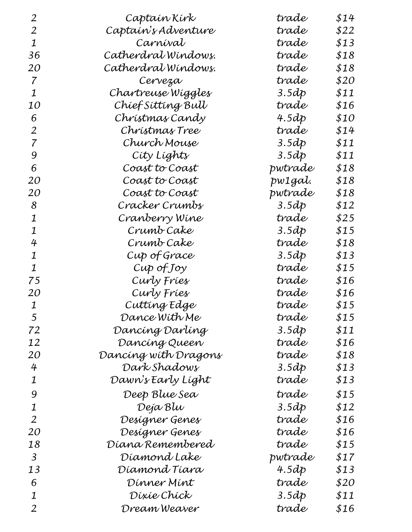| 2         | Captain Kirk         | trade   | \$14 |
|-----------|----------------------|---------|------|
| 2         | Captaín's Adventure  | trade   | \$22 |
| 1         | Carníval             | trade   | \$13 |
| 36        | Catherdral Windows.  | trade   | \$18 |
| <i>20</i> | Catherdral Windows.  | trade   | \$18 |
| 7         | Cerveza              | trade   | \$20 |
| 1         | Chartreuse Wiggles   | 3.5dp   | \$11 |
| 10        | Chíef Síttíng Bull   | trade   | \$16 |
| 6         | Chrístmas Candy      | 4.5dp   | \$10 |
| 2         | Chrístmas Tree       | trade   | \$14 |
| 7         | Church Mouse         | 3.5dp   | \$11 |
| 9         | Cíty Líghts          | 3.5dp   | \$11 |
| 6         | Coast to Coast       | pwtrade | \$18 |
| <i>20</i> | Coast to Coast       | pw1gal. | \$18 |
| <i>20</i> | Coast to Coast       | pwtrade | \$18 |
| 8         | Cracker Crumbs       | 3.5dp   | \$12 |
| 1         | Cranberry Wine       | trade   | \$25 |
| 1         | Crumb Cake           | 3.5dp   | \$15 |
| 4         | Crumb Cake           | trade   | \$18 |
| 1         | Cup of Grace         | 3.5dp   | \$13 |
| 1         | $Cup$ of $Joy$       | trade   | \$15 |
| 75        | Curly Fries          | trade   | \$16 |
| <i>20</i> | Curly Fries          | trade   | \$16 |
| 1         | Cutting Edge         | trade   | \$15 |
| 5         | Dance With Me        | trade   | \$15 |
| 72        | Dancíng Darlíng      | 3.5dp   | \$11 |
| 12        | Dancing Queen        | trade   | \$16 |
| 20        | Dancíng wíth Dragons | trade   | \$18 |
| 4         | Dark Shadows         | 3.5dp   | \$13 |
| 1         | Dawn's Early Líght   | trade   | \$13 |
| 9         | Deep Blue Sea        | trade   | \$15 |
| 1         | Deja Blu             | 3.5dp   | \$12 |
| 2         | Designer Genes       | trade   | \$16 |
| 20        | Designer Genes       | trade   | \$16 |
| 18        | Díana Remembered     | trade   | \$15 |
| 3         | Díamond Lake         | pwtrade | \$17 |
| 13        | Díamond Tíara        | 4.5dp   | \$13 |
| 6         | Dinner Mint          | trade   | \$20 |
| 1         | Díxie Chíck          | 3.5dp   | \$11 |
| 2         | Dream Weaver         | trade   | \$16 |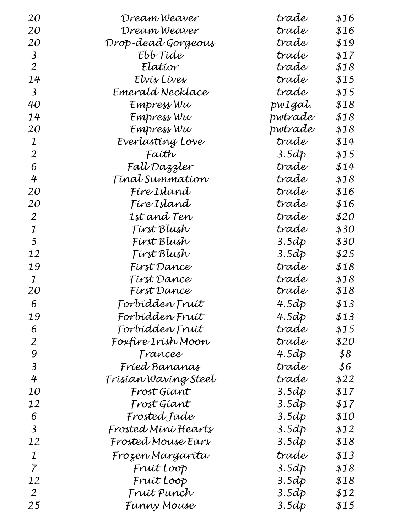| 20             | Dream Weaver         | trade   | \$16 |
|----------------|----------------------|---------|------|
| 20             | Dream Weaver         | trade   | \$16 |
| 20             | Drop-dead Gorgeous   | trade   | \$19 |
| 3              | Ebb Tíde             | trade   | \$17 |
| $\overline{2}$ | Elatior              | trade   | \$18 |
| 14             | Elvís Líves          | trade   | \$15 |
| $\overline{3}$ | Emerald Necklace     | trade   | \$15 |
| 40             | Empress Wu           | pw1gal. | \$18 |
| 14             | Empress Wu           | pwtrade | \$18 |
| <i>20</i>      | Empress Wu           | pwtrade | \$18 |
| 1              | Everlasting Love     | trade   | \$14 |
| 2              | Faíth                | 3.5dp   | \$15 |
| 6              | Fall Dazzler         | trade   | \$14 |
| 4              | Fínat Summatíon      | trade   | \$18 |
| <i>20</i>      | Fíre Island          | trade   | \$16 |
| 20             | Fíre Island          | trade   | \$16 |
| 2              | 1st and Ten          | trade   | \$20 |
| $\mathbf 1$    | Fírst Blush          | trade   | \$30 |
| 5              | Fírst Blush          | 3.5dp   | \$30 |
| 12             | Fírst Blush          | 3.5dp   | \$25 |
| 19             | Fírst Dance          | trade   | \$18 |
| $\mathbf 1$    | Fírst Dance          | trade   | \$18 |
| 20             | Fírst Dance          | trade   | \$18 |
| 6              | Forbídden Fruít      | 4.5dp   | \$13 |
| 19             | Forbídden Fruít      | 4.5dp   | \$13 |
| 6              | Forbídden Fruít      | trade   | \$15 |
| 2              | Foxfíre Irísh Moon   | trade   | \$20 |
| 9              | Francee              | 4.5dp   | \$8  |
| 3              | Fríed Bananas        | trade   | \$6  |
| 4              | Frísían Wavíng Steel | trade   | \$22 |
| <i>10</i>      | Frost Giant          | 3.5dp   | \$17 |
| 12             | Frost Gíant          | 3.5dp   | \$17 |
| 6              | Frosted Jade         | 3.5dp   | \$10 |
| 3              | Frosted Míní Hearts  | 3.5dp   | \$12 |
| 12             | Frosted Mouse Ears   | 3.5dp   | \$18 |
| 1              | Frozen Margaríta     | trade   | \$13 |
| $\overline{7}$ | Fruít Loop           | 3.5dp   | \$18 |
| 12             | Fruít Loop           | 3.5dp   | \$18 |
| $\overline{2}$ | Fruít Punch          | 3.5dp   | \$12 |
| 25             | Funny Mouse          | 3.5dp   | \$15 |
|                |                      |         |      |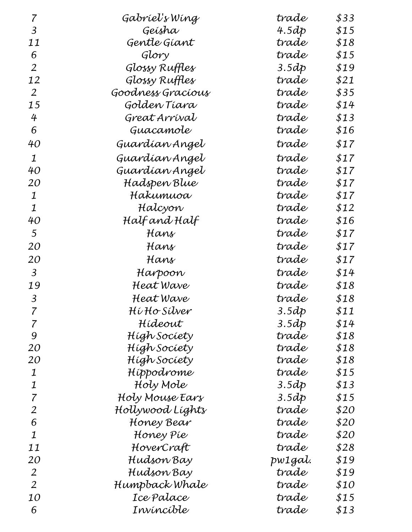| 7                        | Gabríeľs Wíng     | trade    | \$33 |
|--------------------------|-------------------|----------|------|
| 3                        | Geísha            | 4.5 $dp$ | \$15 |
| 11                       | Gentle Giant      | trade    | \$18 |
| 6                        | Glory             | trade    | \$15 |
| $\overline{2}$           | Glossy Ruffles    | 3.5dp    | \$19 |
| 12                       | Glossy Ruffles    | trade    | \$21 |
| $\overline{2}$           | Goodness Gracíous | trade    | \$35 |
| 15                       | Golden Tiara      | trade    | \$14 |
| 4                        | Great Arrival     | trade    | \$13 |
| 6                        | Guacamole         | trade    | \$16 |
| 40                       | Guardían Angel    | trade    | \$17 |
| 1                        | Guardían Angel    | trade    | \$17 |
| 40                       | Guardían Angel    | trade    | \$17 |
| <i>20</i>                | Hadspen Blue      | trade    | \$17 |
| 1                        | Hakumuoa          | trade    | \$17 |
| 1                        | Halcyon           | trade    | \$12 |
| 40                       | Half and Half     | trade    | \$16 |
| 5                        | Hans              | trade    | \$17 |
| <i>20</i>                | Hans              | trade    | \$17 |
| 20                       | Hans              | trade    | \$17 |
| $\mathfrak{Z}$           | Harpoon           | trade    | \$14 |
| 19                       | Heat Wave         | trade    | \$18 |
| $\mathfrak{Z}$           | Heat Wave         | trade    | \$18 |
| $\overline{\mathcal{L}}$ | Hí Ho Sílver      | 3.5dp    | \$11 |
| 7                        | Hídeout           | 3.5dp    | \$14 |
| 9                        | Hígh Socíety      | trade    | \$18 |
| 20                       | Hígh Socíety      | trade    | \$18 |
| <i>20</i>                | Hígh Socíety      | trade    | \$18 |
| 1                        | Hippodrome        | trade    | \$15 |
| 1                        | Holy Mole         | 3.5dp    | \$13 |
| 7                        | Holy Mouse Ears   | 3.5dp    | \$15 |
| 2                        | Hollywood Líghts  | trade    | \$20 |
| 6                        | Honey Bear        | trade    | \$20 |
| $\mathbf 1$              | Honey Píe         | trade    | \$20 |
| 11                       | HoverCraft        | trade    | \$28 |
| 20                       | Hudson Bay        | pw1gal.  | \$19 |
| $\overline{2}$           | Hudson Bay        | trade    | \$19 |
| $\overline{2}$           | Humpback Whale    | trade    | \$10 |
| <i>10</i>                | Ice Palace        | trade    | \$15 |
| 6                        | Invíncíble        | trade    | \$13 |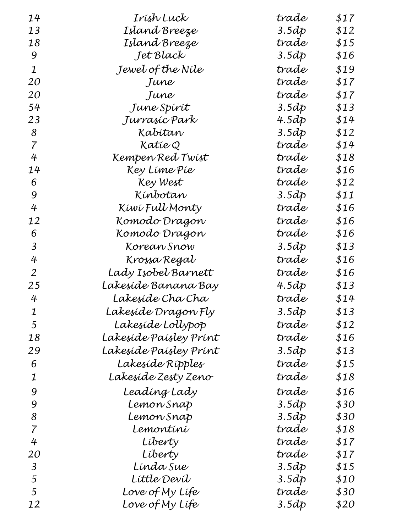| 14             | Irísh Luck             | trade | \$17 |
|----------------|------------------------|-------|------|
| 13             | Island Breeze          | 3.5dp | \$12 |
| 18             | Island Breeze          | trade | \$15 |
| 9              | Jet Black              | 3.5dp | \$16 |
| $\mathbf 1$    | Jewel of the Níle      | trade | \$19 |
| 20             | June                   | trade | \$17 |
| <i>20</i>      | June                   | trade | \$17 |
| 54             | June Spírít            | 3.5dp | \$13 |
| 23             | Jurrasic Park          | 4.5dp | \$14 |
| 8              | Kabítan                | 3.5dp | \$12 |
| 7              | Katie Q                | trade | \$14 |
| 4              | Kempen Red Twist       | trade | \$18 |
| 14             | Key Líme Píe           | trade | \$16 |
| 6              | Key West               | trade | \$12 |
| 9              | Kínbotan               | 3.5dp | \$11 |
| 4              | Kíwí Full Monty        | trade | \$16 |
| 12             | Komodo Dragon          | trade | \$16 |
| 6              | Komodo Dragon          | trade | \$16 |
| 3              | Korean Snow            | 3.5dp | \$13 |
| 4              | Krossa Regal           | trade | \$16 |
| $\overline{2}$ | Lady Isobel Barnett    | trade | \$16 |
| 25             | Lakesíde Banana Bay    | 4.5dp | \$13 |
| 4              | Lakesíde Cha Cha       | trade | \$14 |
| 1              | Lakesíde Dragon Fly    | 3.5dp | \$13 |
| 5              | Lakesíde Lollypop      | trade | \$12 |
| 18             | Lakeside Paísley Prínt | trade | \$16 |
| 29             | Lakesíde Paísley Prínt | 3.5dp | \$13 |
| 6              | Lakesíde Rípples       | trade | \$15 |
| 1              | Lakesíde Zesty Zeno    | trade | \$18 |
| 9              | Leadíng Lady           | trade | \$16 |
| 9              | Lemon Snap             | 3.5dp | \$30 |
| 8              | Lemon Snap             | 3.5dp | \$30 |
| 7              | Lemontíní              | trade | \$18 |
| 4              | Líberty                | trade | \$17 |
| <i>20</i>      | Líberty                | trade | \$17 |
| 3              | Línda Sue              | 3.5dp | \$15 |
| 5              | Líttle Devíl           | 3.5dp | \$10 |
| 5              | Love of My Lífe        | trade | \$30 |
| 12             | Love of My Lífe        | 3.5dp | \$20 |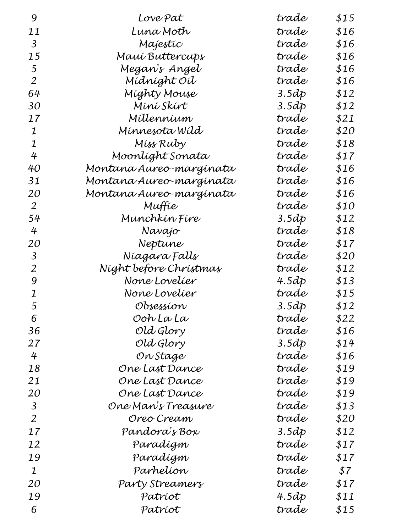|                         |                                                                                                                                                                                                                                            | \$15                                                                          |
|-------------------------|--------------------------------------------------------------------------------------------------------------------------------------------------------------------------------------------------------------------------------------------|-------------------------------------------------------------------------------|
|                         |                                                                                                                                                                                                                                            | \$16                                                                          |
|                         |                                                                                                                                                                                                                                            | \$16                                                                          |
|                         |                                                                                                                                                                                                                                            | \$16                                                                          |
|                         |                                                                                                                                                                                                                                            | \$16                                                                          |
|                         |                                                                                                                                                                                                                                            | \$16                                                                          |
|                         |                                                                                                                                                                                                                                            | \$12                                                                          |
|                         |                                                                                                                                                                                                                                            | \$12                                                                          |
|                         | trade                                                                                                                                                                                                                                      | \$21                                                                          |
|                         |                                                                                                                                                                                                                                            | \$20                                                                          |
|                         | trade                                                                                                                                                                                                                                      | \$18                                                                          |
|                         | trade                                                                                                                                                                                                                                      | \$17                                                                          |
|                         | trade                                                                                                                                                                                                                                      | \$16                                                                          |
| Montana Aureo-margínata | trade                                                                                                                                                                                                                                      | \$16                                                                          |
|                         | trade                                                                                                                                                                                                                                      | \$16                                                                          |
| Muffie                  | trade                                                                                                                                                                                                                                      | \$10                                                                          |
| Munchkín Fíre           | 3.5dp                                                                                                                                                                                                                                      | \$12                                                                          |
| Navajo                  | trade                                                                                                                                                                                                                                      | \$18                                                                          |
| Neptune                 | trade                                                                                                                                                                                                                                      | \$17                                                                          |
| Níagara Falls           | trade                                                                                                                                                                                                                                      | \$20                                                                          |
| Níght before Chrístmas  | trade                                                                                                                                                                                                                                      | \$12                                                                          |
| None Lovelíer           | 4.5dp                                                                                                                                                                                                                                      | \$13                                                                          |
| None Lovelíer           | trade                                                                                                                                                                                                                                      | \$15                                                                          |
| Obsessíon               | 3.5dp                                                                                                                                                                                                                                      | \$12                                                                          |
| Ooh La La               | trade                                                                                                                                                                                                                                      | \$22                                                                          |
| Old Glory               | trade                                                                                                                                                                                                                                      | \$16                                                                          |
| Old Glory               | 3.5dp                                                                                                                                                                                                                                      | \$14                                                                          |
| On Stage                | trade                                                                                                                                                                                                                                      | \$16                                                                          |
| One Last Dance          | trade                                                                                                                                                                                                                                      | \$19                                                                          |
| One Last Dance          | trade                                                                                                                                                                                                                                      | \$19                                                                          |
| One Last Dance          | trade                                                                                                                                                                                                                                      | \$19                                                                          |
| One Man's Treasure      | trade                                                                                                                                                                                                                                      | \$13                                                                          |
| Oreo Cream              | trade                                                                                                                                                                                                                                      | \$20                                                                          |
| Pandora's Box           | 3.5dp                                                                                                                                                                                                                                      | \$12                                                                          |
| Paradígm                | trade                                                                                                                                                                                                                                      | \$17                                                                          |
| Paradígm                | trade                                                                                                                                                                                                                                      | \$17                                                                          |
| Parhelíon               | trade                                                                                                                                                                                                                                      | \$7                                                                           |
| Party Streamers         | trade                                                                                                                                                                                                                                      | \$17                                                                          |
| Patríot                 | 4.5 $dp$                                                                                                                                                                                                                                   | \$11                                                                          |
| Patríot                 | trade                                                                                                                                                                                                                                      | \$15                                                                          |
|                         | Love Pat<br>Luna Moth<br>Majestic<br>Mauí Buttercups<br>Megan's Angel<br>Mídníght Oíl<br>Míghty Mouse<br>Míní Skírt<br>Millennium<br>Mínnesota Wíld<br>Miss Ruby<br>Moonlíght Sonata<br>Montana Aureo-margínata<br>Montana Aureo-margínata | trade<br>trade<br>trade<br>trade<br>trade<br>trade<br>3.5dp<br>3.5dp<br>trade |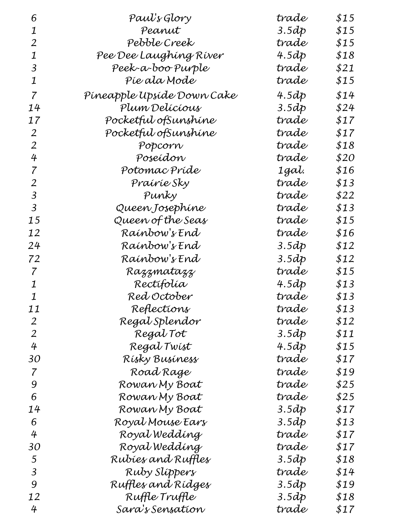| 6              | Paul's Glory               | trade | \$15 |
|----------------|----------------------------|-------|------|
| 1              | Peanut                     | 3.5dp | \$15 |
| 2              | Pebble Creek               | trade | \$15 |
| 1              | Pee Dee Laughing River     | 4.5dp | \$18 |
| 3              | Peek-a-boo Purple          | trade | \$21 |
| 1              | Píe ala Mode               | trade | \$15 |
| 7              | Píneapple Upsíde Down Cake | 4.5dp | \$14 |
| 14             | Plum Delícíous             | 3.5dp | \$24 |
| 17             | Pocketful ofSunshine       | trade | \$17 |
| 2              | Pocketful ofSunshine       | trade | \$17 |
| 2              | Popcorn                    | trade | \$18 |
| 4              | Poseídon                   | trade | \$20 |
| 7              | Potomac Príde              | 1gal. | \$16 |
| 2              | Praíríe Sky                | trade | \$13 |
| 3              | Punky                      | trade | \$22 |
| 3              | Queen Josephíne            | trade | \$13 |
| 15             | Queen of the Seas          | trade | \$15 |
| 12             | Raínbow's End              | trade | \$16 |
| 24             | Raínbow's End              | 3.5dp | \$12 |
| 72             | Raínbow's End              | 3.5dp | \$12 |
| 7              | Razzmatazz                 | trade | \$15 |
| 1              | Rectifolía                 | 4.5dp | \$13 |
| 1              | Red October                | trade | \$13 |
| 11             | Reflections                | trade | \$13 |
| $\overline{2}$ | Regal Splendor             | trade | \$12 |
| 2              | Regal Tot                  | 3.5dp | \$11 |
| 4              | Regal Twist                | 4.5dp | \$15 |
| 30             | Rísky Busíness             | trade | \$17 |
| 7              | Road Rage                  | trade | \$19 |
| 9              | Rowan My Boat              | trade | \$25 |
| 6              | Rowan My Boat              | trade | \$25 |
| 14             | Rowan My Boat              | 3.5dp | \$17 |
| 6              | Royal Mouse Ears           | 3.5dp | \$13 |
| 4              | Royal Weddíng              | trade | \$17 |
| 30             | Royal Wedding              | trade | \$17 |
| 5              | Rubíes and Ruffles         | 3.5dp | \$18 |
| 3              | Ruby Slippers              | trade | \$14 |
| 9              | Ruffles and Rídges         | 3.5dp | \$19 |
| 12             | Ruffle Truffle             | 3.5dp | \$18 |
| 4              | Sara's Sensation           | trade | \$17 |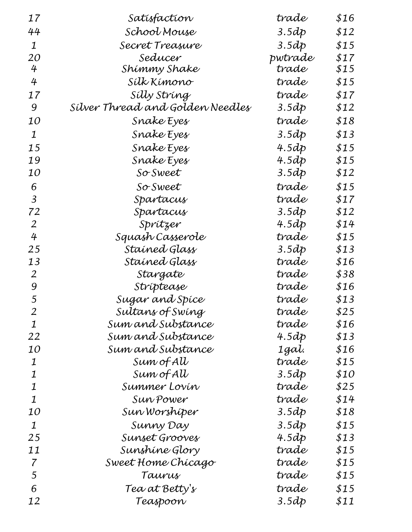| 17             | Satisfaction                     | trade   | \$16 |
|----------------|----------------------------------|---------|------|
| 44             | School Mouse                     | 3.5dp   | \$12 |
| 1              | Secret Treasure                  | 3.5dp   | \$15 |
| <i>20</i>      | Seducer                          | pwtrade | \$17 |
| 4              | Shimmy Shake                     | trade   | \$15 |
| 4              | Sílk Kímono                      | trade   | \$15 |
| 17             | Sílly Stríng                     | trade   | \$17 |
| 9              | Silver Thread and Golden Needles | 3.5dp   | \$12 |
| <i>10</i>      | Snake Eyes                       | trade   | \$18 |
| 1              | Snake Eyes                       | 3.5dp   | \$13 |
| 15             | Snake Eyes                       | 4.5dp   | \$15 |
| 19             | Snake Eyes                       | 4.5dp   | \$15 |
| 10             | So Sweet                         | 3.5dp   | \$12 |
| 6              | So Sweet                         | trade   | \$15 |
| 3              | Spartacus                        | trade   | \$17 |
| 72             | Spartacus                        | 3.5dp   | \$12 |
| 2              | Sprítzer                         | 4.5dp   | \$14 |
| 4              | Squash Casserole                 | trade   | \$15 |
| 25             | Stained Glass                    | 3.5dp   | \$13 |
| 13             | Staíned Glass                    | trade   | \$16 |
| 2              | Stargate                         | trade   | \$38 |
| 9              | Stríptease                       | trade   | \$16 |
| 5              | Sugar and Spice                  | trade   | \$13 |
| $\overline{2}$ | Sultans of Swing                 | trade   | \$25 |
| $\mathbf 1$    | Sum and Substance                | trade   | \$16 |
| 22             | Sum and Substance                | 4.5dp   | \$13 |
| 10             | Sum and Substance                | 1gal.   | \$16 |
| 1              | Sum of AU                        | trade   | \$15 |
| 1              | Sum of AU                        | 3.5dp   | \$10 |
| 1              | Summer Lovín                     | trade   | \$25 |
| $\mathbf 1$    | Sun Power                        | trade   | \$14 |
| 10             | Sun Worshiper                    | 3.5dp   | \$18 |
| 1              | Sunny Day                        | 3.5dp   | \$15 |
| 25             | Sunset Grooves                   | 4.5dp   | \$13 |
| 11             | Sunshine Glory                   | trade   | \$15 |
| 7              | Sweet Home Chicago               | trade   | \$15 |
| 5              | Taurus                           | trade   | \$15 |
| 6              | Tea at Betty's                   | trade   | \$15 |
| 12             | Teaspoon                         | 3.5dp   | \$11 |
|                |                                  |         |      |